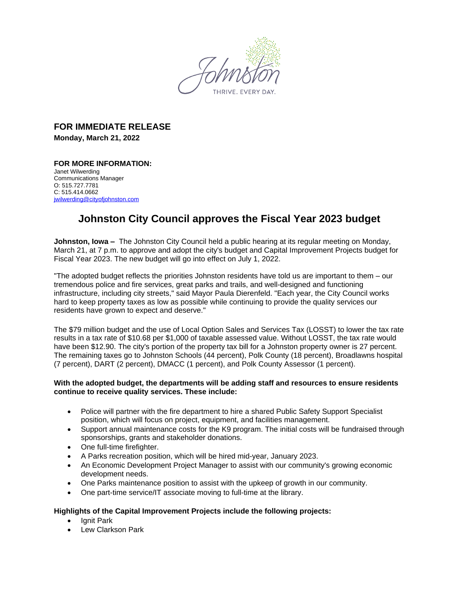

# **FOR IMMEDIATE RELEASE**

**Monday, March 21, 2022**

#### **FOR MORE INFORMATION:**  Janet Wilwerding Communications Manager O: 515.727.7781 C: 515.414.0662 [jwilwerding@cityofjohnston.com](mailto:jwilwerding@cityofjohnston.com)

## **Johnston City Council approves the Fiscal Year 2023 budget**

**Johnston, Iowa –** The Johnston City Council held a public hearing at its regular meeting on Monday, March 21, at 7 p.m. to approve and adopt the city's budget and Capital Improvement Projects budget for Fiscal Year 2023. The new budget will go into effect on July 1, 2022.

"The adopted budget reflects the priorities Johnston residents have told us are important to them – our tremendous police and fire services, great parks and trails, and well-designed and functioning infrastructure, including city streets," said Mayor Paula Dierenfeld. "Each year, the City Council works hard to keep property taxes as low as possible while continuing to provide the quality services our residents have grown to expect and deserve."

The \$79 million budget and the use of Local Option Sales and Services Tax (LOSST) to lower the tax rate results in a tax rate of \$10.68 per \$1,000 of taxable assessed value. Without LOSST, the tax rate would have been \$12.90. The city's portion of the property tax bill for a Johnston property owner is 27 percent. The remaining taxes go to Johnston Schools (44 percent), Polk County (18 percent), Broadlawns hospital (7 percent), DART (2 percent), DMACC (1 percent), and Polk County Assessor (1 percent).

#### **With the adopted budget, the departments will be adding staff and resources to ensure residents continue to receive quality services. These include:**

- Police will partner with the fire department to hire a shared Public Safety Support Specialist position, which will focus on project, equipment, and facilities management.
- Support annual maintenance costs for the K9 program. The initial costs will be fundraised through sponsorships, grants and stakeholder donations.
- One full-time firefighter.
- A Parks recreation position, which will be hired mid-year, January 2023.
- An Economic Development Project Manager to assist with our community's growing economic development needs.
- One Parks maintenance position to assist with the upkeep of growth in our community.
- One part-time service/IT associate moving to full-time at the library.

### **Highlights of the Capital Improvement Projects include the following projects:**

- Ignit Park
- Lew Clarkson Park